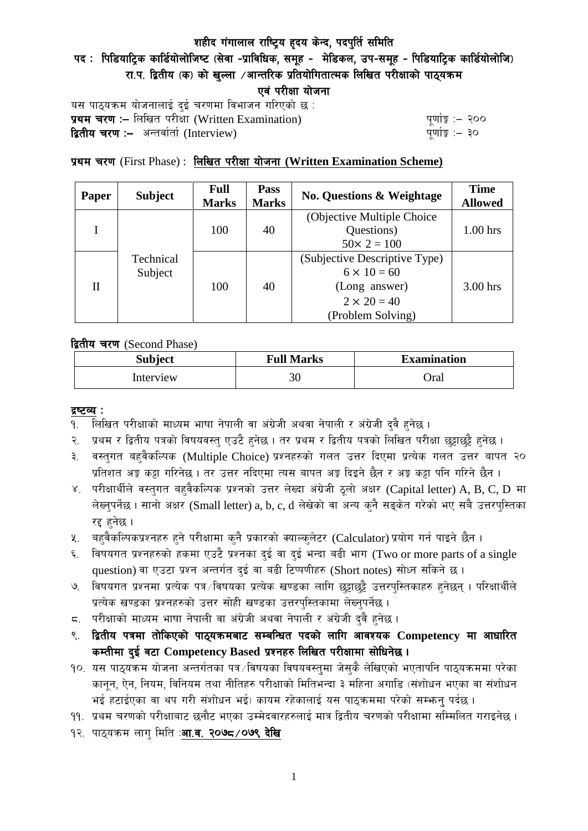# शहीद गंगालाल राष्ट्रिय हृदय केन्द, पदपुर्ति समिति

# पद : पिडियाट्रिक कार्डियोलोजिष्ट (सेवा -प्राविधिक, समूह - मेडिकल, उप-समूह - पिडियाट्रिक कार्डियोलोजि) रा.प. द्वितीय (क) को खल्ला /आन्तरिक प्रतियोगितात्मक लिखित परीक्षाको पाठ्यक्रम एवं परीक्षा योजना

यस पाठ्यक्रम योजनालाई दुई चरणमा विभाजन गरिएको छ : प्रथम चरण :- लिखित परीसा (Written Examination)  $\frac{1}{2}$  while  $\frac{1}{2}$  and  $\frac{1}{2}$ **द्वितीय चरण :–** अन्तर्वार्ता (Interview) k and the set of the set of the set of the set of the set of the set o

# प्रथम चरण (First Phase) : लिखित परीक्षा योजना (Written Examination Scheme)

| <b>Paper</b> | <b>Subject</b>       | <b>Full</b><br><b>Marks</b> | Pass<br><b>Marks</b> | <b>No. Questions &amp; Weightage</b> | <b>Time</b><br><b>Allowed</b> |
|--------------|----------------------|-----------------------------|----------------------|--------------------------------------|-------------------------------|
|              | Technical<br>Subject | 100                         | 40                   | (Objective Multiple Choice)          |                               |
|              |                      |                             |                      | Questions)                           | $1.00$ hrs                    |
|              |                      |                             |                      | $50 \times 2 = 100$                  |                               |
| H            |                      | 100                         | 40                   | (Subjective Descriptive Type)        |                               |
|              |                      |                             |                      | $6 \times 10 = 60$                   |                               |
|              |                      |                             |                      | (Long answer)                        | $3.00$ hrs                    |
|              |                      |                             |                      | $2 \times 20 = 40$                   |                               |
|              |                      |                             |                      | (Problem Solving)                    |                               |

द्वितीय चरण (Second Phase)

| <b>Subject</b> | <b>Full Marks</b> | <b>Examination</b> |  |
|----------------|-------------------|--------------------|--|
| Interview      | 30                | Oral               |  |

#### द्रष्टव्य :

- १. लिखित परीक्षाको माध्यम भाषा नेपाली वा अंग्रेजी अथवा नेपाली र अंग्रेजी द्वै हुनेछ ।
- २. प्रथम र द्वितीय पत्रको विषयवस्तु एउटै हुनेछ । तर प्रथम र द्वितीय पत्रको लिखित परीक्षा छुट्टाछुट्टै हुनेछ ।
- ३. वस्तुगत बहुवैकल्पिक (Multiple Choice) प्रश्नहरुको गलत उत्तर दिएमा प्रत्येक गलत उत्तर बापत २० प्रतिशत अड़ू कट्टा गरिनेछ । तर उत्तर नदिएमा त्यस बापत अड़ू दिइने छैन र अड़ू कट्टा पनि गरिने छैन ।
- ४. परीक्षार्थीले वस्तुगत बहुवैकल्पिक प्रश्नको उत्तर लेख्दा अंग्रेजी ठूलो अक्षर (Capital letter) A, B, C, D मा लेख्नुपर्नेछ । सानो अक्षर (Small letter) a, b, c, d लेखेको वा अन्य कुनै सङ्केत गरेको भए सबै उत्तरपुस्तिका रद्द हनेछ ।
- ५. वहवैकल्पिकप्रश्नहरु हुने परीक्षामा कुनै प्रकारको क्याल्कुलेटर (Calculator) प्रयोग गर्न पाइने छैन ।
- ६. विषयगत प्रश्नहरुको हकमा एउटै प्रश्नका दुई वा दुई भन्दा बढी भाग (Two or more parts of a single question) वा एउटा प्रश्न अन्तर्गत दुई वा बढी टिप्पणीहरु (Short notes) सोध्न सकिने छ।
- ७. विषयगत प्रश्नमा प्रत्येक पत्र ∕विषयका प्रत्येक खण्डका लागि छट्टाछट्टै उत्तरपुस्तिकाहरु हुनेछन् । परिक्षार्थीले प्रत्येक खण्डका प्रश्नहरुको उत्तर सोही खण्डका उत्तरपस्तिकामा लेख्नपर्नेछ ।
- $\,$ द. परीक्षाको माध्यम भाषा नेपाली वा अंग्रेजी अथवा नेपाली र अंग्रेजी द्वै हुनेछ ।
- ९. द्वितीय पत्रमा तोकिएको पाठ्यक्रमबाट सम्बन्धित पदको लागि आवश्यक Competency मा आधारित कम्तीमा दई वटा Competency Based प्रश्नहरु लिखित परीक्षामा सोधिनेछ।
- $10.$  यस पाठ्यक्रम योजना अन्तर्गतका पत्र /विषयका विषयवस्तुमा जेसुकै लेखिएको भएतापनि पाठ्यक्रममा परेका कानून, ऐन, नियम, विनियम तथा नीतिहरु परीक्षाको मितिभन्दा ३ महिना अगाडि (संशोधन भएका वा संशोधन भई हटाईएका वा थप गरी संशोधन भई) कायम रहेकालाई यस पाठकममा परेको सम्भन्न पर्दछ ।
- ११. प्रथम चरणको परीक्षाबाट छनौट भएका उम्मेदवारहरुलाई मात्र द्वितीय चरणको परीक्षामा सम्मिलित गराइनेछ ।
- १२. पाठ्यक्रम लाग मिति :**आ.व. २०७८ ⁄ ०७९ देखि**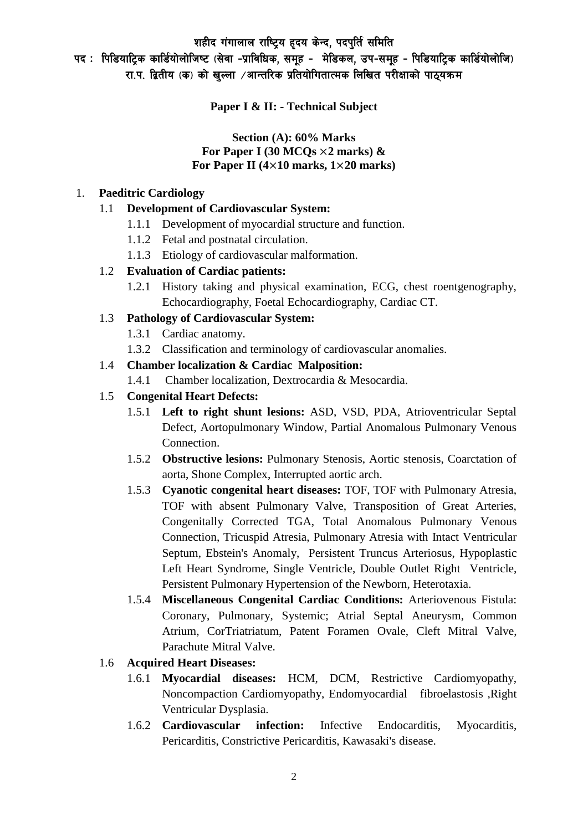शहीद गंगालाल राष्ट्रिय हृदय केन्द, पदपुर्ति समिति

पद : पिडियाट्रिक कार्डियोलोजिष्ट (सेवा -प्राविधिक, समूह - मेडिकल, उप-समूह - पिडियाट्रिक कार्डियोलोजि) रा.प. द्वितीय (क) को खुल्ला /आन्तरिक प्रतियोगितात्मक लिखित परीक्षाको पाठ्यक्रम

**Paper I & II: - Technical Subject**

#### **Section (A): 60% Marks For Paper I (30 MCQs** ×**2 marks) & For Paper II (4**×**10 marks, 1**×**20 marks)**

#### 1. **Paeditric Cardiology**

### 1.1 **Development of Cardiovascular System:**

- 1.1.1 Development of myocardial structure and function.
- 1.1.2 Fetal and postnatal circulation.
- 1.1.3 Etiology of cardiovascular malformation.

### 1.2 **Evaluation of Cardiac patients:**

1.2.1 History taking and physical examination, ECG, chest roentgenography, Echocardiography, Foetal Echocardiography, Cardiac CT.

### 1.3 **Pathology of Cardiovascular System:**

- 1.3.1 Cardiac anatomy.
- 1.3.2 Classification and terminology of cardiovascular anomalies.

### 1.4 **Chamber localization & Cardiac Malposition:**

1.4.1 Chamber localization, Dextrocardia & Mesocardia.

### 1.5 **Congenital Heart Defects:**

- 1.5.1 **Left to right shunt lesions:** ASD, VSD, PDA, Atrioventricular Septal Defect, Aortopulmonary Window, Partial Anomalous Pulmonary Venous Connection.
- 1.5.2 **Obstructive lesions:** Pulmonary Stenosis, Aortic stenosis, Coarctation of aorta, Shone Complex, Interrupted aortic arch.
- 1.5.3 **Cyanotic congenital heart diseases:** TOF, TOF with Pulmonary Atresia, TOF with absent Pulmonary Valve, Transposition of Great Arteries, Congenitally Corrected TGA, Total Anomalous Pulmonary Venous Connection, Tricuspid Atresia, Pulmonary Atresia with Intact Ventricular Septum, Ebstein's Anomaly, Persistent Truncus Arteriosus, Hypoplastic Left Heart Syndrome, Single Ventricle, Double Outlet Right Ventricle, Persistent Pulmonary Hypertension of the Newborn, Heterotaxia.
- 1.5.4 **Miscellaneous Congenital Cardiac Conditions:** Arteriovenous Fistula: Coronary, Pulmonary, Systemic; Atrial Septal Aneurysm, Common Atrium, CorTriatriatum, Patent Foramen Ovale, Cleft Mitral Valve, Parachute Mitral Valve.

# 1.6 **Acquired Heart Diseases:**

- 1.6.1 **Myocardial diseases:** HCM, DCM, Restrictive Cardiomyopathy, Noncompaction Cardiomyopathy, Endomyocardial fibroelastosis ,Right Ventricular Dysplasia.
- 1.6.2 **Cardiovascular infection:** Infective Endocarditis, Myocarditis, Pericarditis, Constrictive Pericarditis, Kawasaki's disease.